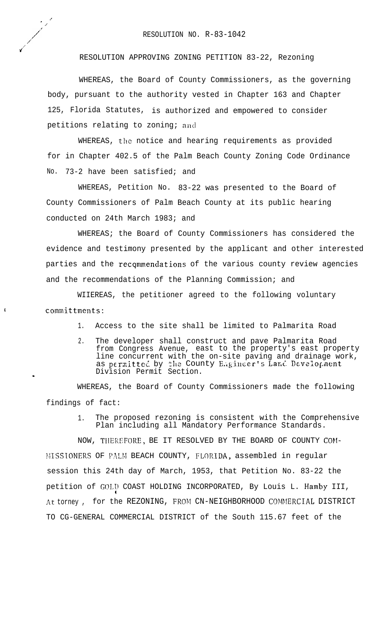,'  $\cdot$   $\cdot$ 

,/.' ,/

u"'

 $\mathbf{I}$ 

RESOLUTION APPROVING ZONING PETITION 83-22, Rezoning

WHEREAS, the Board of County Commissioners, as the governing body, pursuant to the authority vested in Chapter 163 and Chapter 125, Florida Statutes, is authorized and empowered to consider petitions relating to zoning; and

WHEREAS, the notice and hearing requirements as provided for in Chapter 402.5 of the Palm Beach County Zoning Code Ordinance No. 73-2 have been satisfied; and

WHEREAS, Petition No. 83-22 was presented to the Board of County Commissioners of Palm Beach County at its public hearing conducted on 24th March 1983; and

WHEREAS; the Board of County Commissioners has considered the evidence and testimony presented by the applicant and other interested parties and the recqmmendations of the various county review agencies and the recommendations of the Planning Commission; and

WIIEREAS, the petitioner agreed to the following voluntary committments:

- 1. Access to the site shall be limited to Palmarita Road
- 2. The developer shall construct and pave Palmarita Road from Congress Avenue, east to the property's east property line concurrent with the on-site paving and drainage work, as permitted by the County Engineer's Land Development Division Permit Section.

WHEREAS, the Board of County Commissioners made the following findings of fact:

> 1. The proposed rezoning is consistent with the Comprehensive Plan including all Mandatory Performance Standards.

NOW, TIIEREFORE, BE IT RESOLVED BY THE BOARD OF COUNTY COM- MISSIONERS OF PALM BEACH COUNTY, FLORIDA, assembled in regular session this 24th day of March, 1953, that Petition No. 83-22 the petition of GOLD COAST HOLDING INCORPORATED, By Louis L. Hamby III, . . At torney, for the REZONING, FROM CN-NEIGHBORHOOD COMMERCIAL DISTRICT TO CG-GENERAL COMMERCIAL DISTRICT of the South 115.67 feet of the